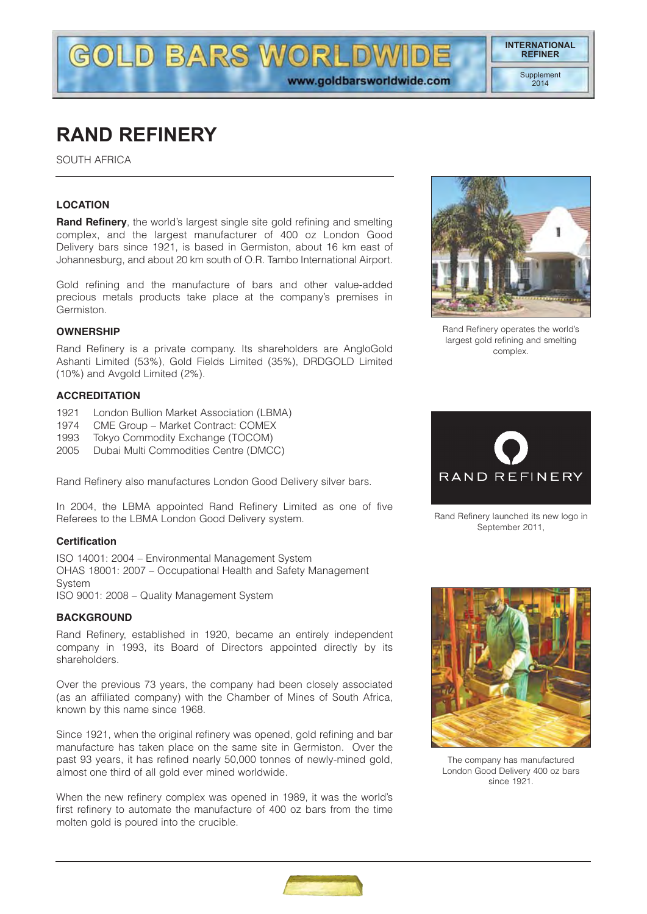www.goldbarsworldwide.com

 $2014$ 

# **RAND REFINERY**

SOUTH AFRICA

# **LOCATION**

**Rand Refinery**, the world's largest single site gold refining and smelting complex, and the largest manufacturer of 400 oz London Good Delivery bars since 1921, is based in Germiston, about 16 km east of Johannesburg, and about 20 km south of O.R. Tambo International Airport.

GOLD BARS WORLDW

Gold refining and the manufacture of bars and other value-added precious metals products take place at the company's premises in Germiston.

# **OWNERSHIP**

Rand Refinery is a private company. Its shareholders are AngloGold Ashanti Limited (53%), Gold Fields Limited (35%), DRDGOLD Limited (10%) and Avgold Limited (2%).

# **ACCREDITATION**

- 1921 London Bullion Market Association (LBMA)
- 1974 CME Group Market Contract: COMEX
- 1993 Tokyo Commodity Exchange (TOCOM)
- 2005 Dubai Multi Commodities Centre (DMCC)

Rand Refinery also manufactures London Good Delivery silver bars.

In 2004, the LBMA appointed Rand Refinery Limited as one of five Referees to the LBMA London Good Delivery system.

### **Certification**

ISO 14001: 2004 – Environmental Management System OHAS 18001: 2007 – Occupational Health and Safety Management System ISO 9001: 2008 – Quality Management System

### **BACKGROUND**

Rand Refinery, established in 1920, became an entirely independent company in 1993, its Board of Directors appointed directly by its shareholders.

Over the previous 73 years, the company had been closely associated (as an affiliated company) with the Chamber of Mines of South Africa, known by this name since 1968.

Since 1921, when the original refinery was opened, gold refining and bar manufacture has taken place on the same site in Germiston. Over the past 93 years, it has refined nearly 50,000 tonnes of newly-mined gold, almost one third of all gold ever mined worldwide.

When the new refinery complex was opened in 1989, it was the world's first refinery to automate the manufacture of 400 oz bars from the time molten gold is poured into the crucible.



Rand Refinery operates the world's largest gold refining and smelting complex.



Rand Refinery launched its new logo in September 2011,



The company has manufactured London Good Delivery 400 oz bars since 1921.

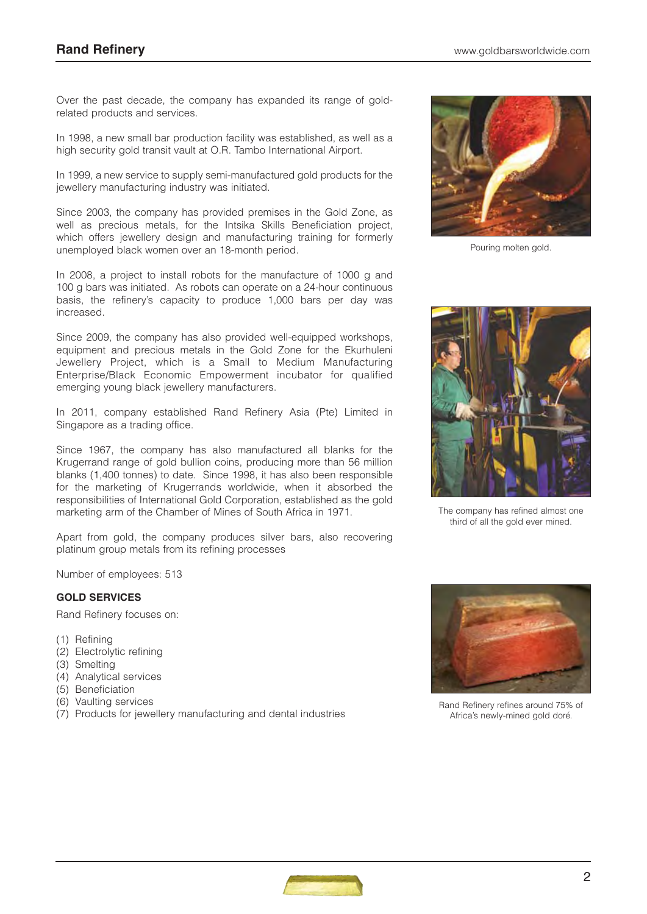Over the past decade, the company has expanded its range of goldrelated products and services.

In 1998, a new small bar production facility was established, as well as a high security gold transit vault at O.R. Tambo International Airport.

In 1999, a new service to supply semi-manufactured gold products for the jewellery manufacturing industry was initiated.

Since 2003, the company has provided premises in the Gold Zone, as well as precious metals, for the Intsika Skills Beneficiation project, which offers jewellery design and manufacturing training for formerly unemployed black women over an 18-month period.

In 2008, a project to install robots for the manufacture of 1000 g and 100 g bars was initiated. As robots can operate on a 24-hour continuous basis, the refinery's capacity to produce 1,000 bars per day was increased.

Since 2009, the company has also provided well-equipped workshops, equipment and precious metals in the Gold Zone for the Ekurhuleni Jewellery Project, which is a Small to Medium Manufacturing Enterprise/Black Economic Empowerment incubator for qualified emerging young black jewellery manufacturers.

In 2011, company established Rand Refinery Asia (Pte) Limited in Singapore as a trading office.

Since 1967, the company has also manufactured all blanks for the Krugerrand range of gold bullion coins, producing more than 56 million blanks (1,400 tonnes) to date. Since 1998, it has also been responsible for the marketing of Krugerrands worldwide, when it absorbed the responsibilities of International Gold Corporation, established as the gold marketing arm of the Chamber of Mines of South Africa in 1971.

Apart from gold, the company produces silver bars, also recovering platinum group metals from its refining processes

Number of employees: 513

# **GOLD SERVICES**

Rand Refinery focuses on:

- (1) Refining
- (2) Electrolytic refining
- (3) Smelting
- (4) Analytical services
- (5) Beneficiation
- (6) Vaulting services
- (7) Products for jewellery manufacturing and dental industries



Pouring molten gold.



The company has refined almost one third of all the gold ever mined.

![](_page_1_Picture_25.jpeg)

Rand Refinery refines around 75% of Africa's newly-mined gold doré.

![](_page_1_Picture_27.jpeg)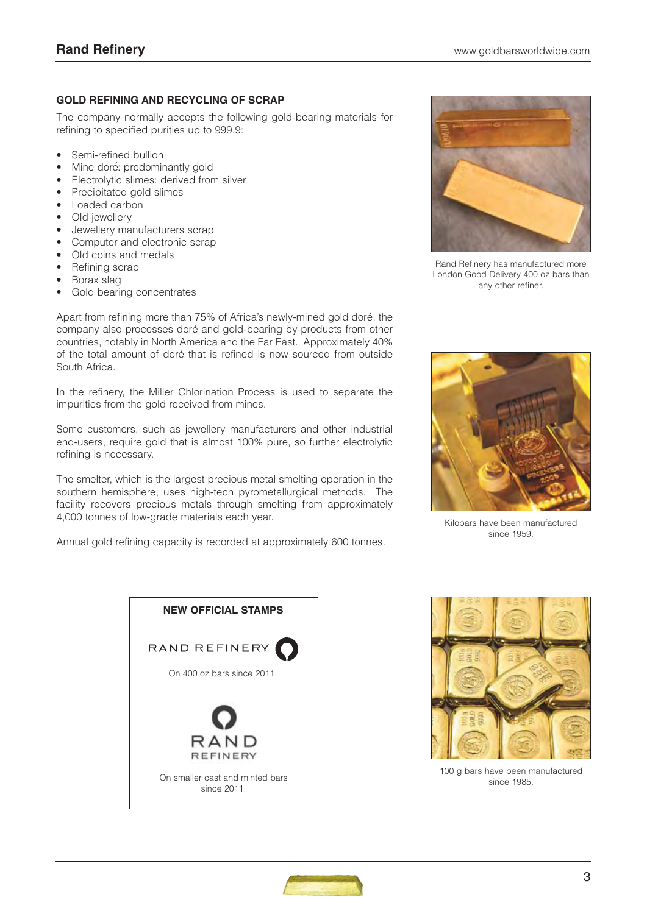# **GOLD REFINING AND RECYCLING OF SCRAP**

The company normally accepts the following gold-bearing materials for refining to specified purities up to 999.9:

- Semi-refined bullion
- Mine doré: predominantly gold
- Electrolytic slimes: derived from silver
- Precipitated gold slimes
- Loaded carbon
- Old jewellery
- Jewellery manufacturers scrap
- Computer and electronic scrap
- Old coins and medals
- Refining scrap
- Borax slag
- Gold bearing concentrates

Apart from refining more than 75% of Africa's newly-mined gold doré, the company also processes doré and gold-bearing by-products from other countries, notably in North America and the Far East. Approximately 40% of the total amount of doré that is refined is now sourced from outside South Africa.

In the refinery, the Miller Chlorination Process is used to separate the impurities from the gold received from mines.

Some customers, such as jewellery manufacturers and other industrial end-users, require gold that is almost 100% pure, so further electrolytic refining is necessary.

The smelter, which is the largest precious metal smelting operation in the southern hemisphere, uses high-tech pyrometallurgical methods. The facility recovers precious metals through smelting from approximately 4,000 tonnes of low-grade materials each year.

Annual gold refining capacity is recorded at approximately 600 tonnes.

![](_page_2_Picture_21.jpeg)

Rand Refinery has manufactured more London Good Delivery 400 oz bars than any other refiner.

![](_page_2_Picture_23.jpeg)

Kilobars have been manufactured since 1959.

![](_page_2_Picture_25.jpeg)

![](_page_2_Picture_26.jpeg)

100 g bars have been manufactured since 1985.

![](_page_2_Picture_28.jpeg)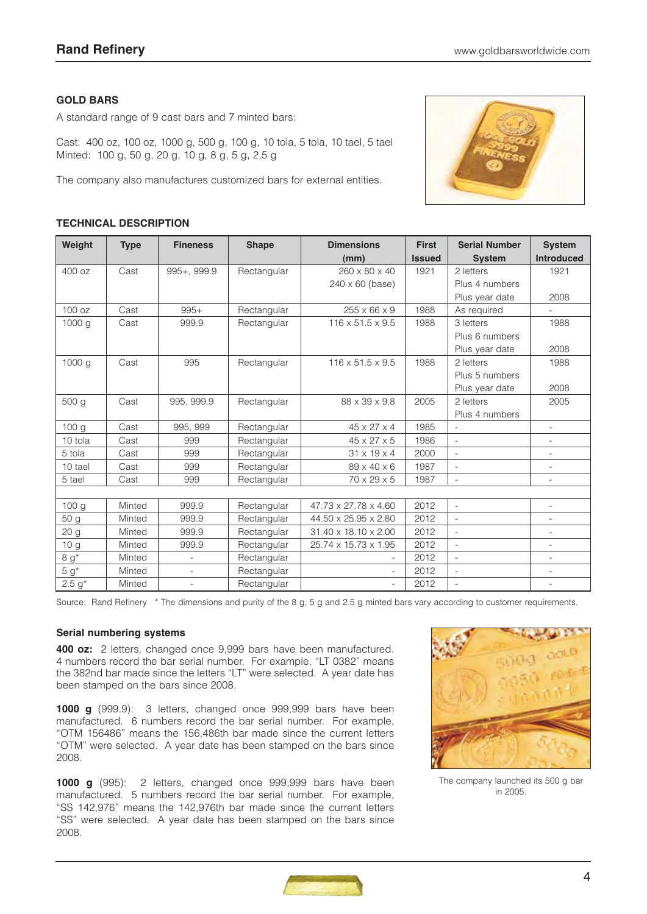# **GOLD BARS**

A standard range of 9 cast bars and 7 minted bars:

Cast: 400 oz, 100 oz, 1000 g, 500 g, 100 g, 10 tola, 5 tola, 10 tael, 5 tael Minted: 100 g, 50 g, 20 g, 10 g, 8 g, 5 g, 2.5 g

The company also manufactures customized bars for external entities.

# **TECHNICAL DESCRIPTION**

| Weight            | <b>Type</b> | <b>Fineness</b>          | <b>Shape</b> | <b>Dimensions</b>            | <b>First</b>  | <b>Serial Number</b>     | <b>System</b>            |
|-------------------|-------------|--------------------------|--------------|------------------------------|---------------|--------------------------|--------------------------|
|                   |             |                          |              | (mm)                         | <b>Issued</b> | <b>System</b>            | <b>Introduced</b>        |
| 400 oz            | Cast        | 995+, 999.9              | Rectangular  | 260 x 80 x 40                | 1921          | 2 letters                | 1921                     |
|                   |             |                          |              | 240 x 60 (base)              |               | Plus 4 numbers           |                          |
|                   |             |                          |              |                              |               | Plus year date           | 2008                     |
| 100 oz            | Cast        | $995+$                   | Rectangular  | 255 x 66 x 9                 | 1988          | As required              |                          |
| 1000 <sub>g</sub> | Cast        | 999.9                    | Rectangular  | $116 \times 51.5 \times 9.5$ | 1988          | 3 letters                | 1988                     |
|                   |             |                          |              |                              |               | Plus 6 numbers           |                          |
|                   |             |                          |              |                              |               | Plus year date           | 2008                     |
| 1000 <sub>g</sub> | Cast        | 995                      | Rectangular  | $116 \times 51.5 \times 9.5$ | 1988          | 2 letters                | 1988                     |
|                   |             |                          |              |                              |               | Plus 5 numbers           |                          |
|                   |             |                          |              |                              |               | Plus year date           | 2008                     |
| 500 g             | Cast        | 995, 999.9               | Rectangular  | 88 x 39 x 9.8                | 2005          | 2 letters                | 2005                     |
|                   |             |                          |              |                              |               | Plus 4 numbers           |                          |
| 100 g             | Cast        | 995, 999                 | Rectangular  | $45 \times 27 \times 4$      | 1985          | $\overline{\phantom{a}}$ | $\overline{\phantom{a}}$ |
| 10 tola           | Cast        | 999                      | Rectangular  | 45 x 27 x 5                  | 1986          | $\overline{\phantom{a}}$ |                          |
| 5 tola            | Cast        | 999                      | Rectangular  | $31 \times 19 \times 4$      | 2000          | $\overline{\phantom{a}}$ | $\overline{\phantom{a}}$ |
| 10 tael           | Cast        | 999                      | Rectangular  | 89 x 40 x 6                  | 1987          | $\overline{\phantom{a}}$ | $\overline{\phantom{a}}$ |
| 5 tael            | Cast        | 999                      | Rectangular  | $70 \times 29 \times 5$      | 1987          | $\overline{\phantom{a}}$ | $\overline{\phantom{a}}$ |
|                   |             |                          |              |                              |               |                          |                          |
| 100 <sub>g</sub>  | Minted      | 999.9                    | Rectangular  | 47.73 x 27.78 x 4.60         | 2012          | $\sim$                   | $\overline{\phantom{a}}$ |
| 50 g              | Minted      | 999.9                    | Rectangular  | 44.50 x 25.95 x 2.80         | 2012          | $\overline{\phantom{a}}$ | ٠                        |
| 20 g              | Minted      | 999.9                    | Rectangular  | 31.40 x 18.10 x 2.00         | 2012          | $\overline{\phantom{a}}$ | $\overline{\phantom{a}}$ |
| 10 <sub>g</sub>   | Minted      | 999.9                    | Rectangular  | 25.74 x 15.73 x 1.95         | 2012          | $\overline{\phantom{a}}$ | $\overline{\phantom{a}}$ |
| $8 g*$            | Minted      | $\overline{\phantom{a}}$ | Rectangular  |                              | 2012          | $\overline{\phantom{a}}$ |                          |
| $5g^*$            | Minted      | $\overline{\phantom{a}}$ | Rectangular  | $\overline{\phantom{a}}$     | 2012          | $\overline{\phantom{a}}$ | $\overline{\phantom{a}}$ |
| $2.5 g*$          | Minted      | ÷                        | Rectangular  |                              | 2012          | ٠                        |                          |

Source: Rand Refinery \* The dimensions and purity of the 8 g, 5 g and 2.5 g minted bars vary according to customer requirements.

### **Serial numbering systems**

**400 oz:** 2 letters, changed once 9,999 bars have been manufactured. 4 numbers record the bar serial number. For example, "LT 0382" means the 382nd bar made since the letters "LT" were selected. A year date has been stamped on the bars since 2008.

**1000 g** (999.9): 3 letters, changed once 999,999 bars have been manufactured. 6 numbers record the bar serial number. For example, "OTM 156486" means the 156,486th bar made since the current letters "OTM" were selected. A year date has been stamped on the bars since 2008.

**1000 g** (995): 2 letters, changed once 999,999 bars have been manufactured. 5 numbers record the bar serial number. For example, "SS 142,976" means the 142,976th bar made since the current letters "SS" were selected. A year date has been stamped on the bars since 2008.

![](_page_3_Picture_14.jpeg)

The company launched its 500 g bar in 2005.

![](_page_3_Picture_16.jpeg)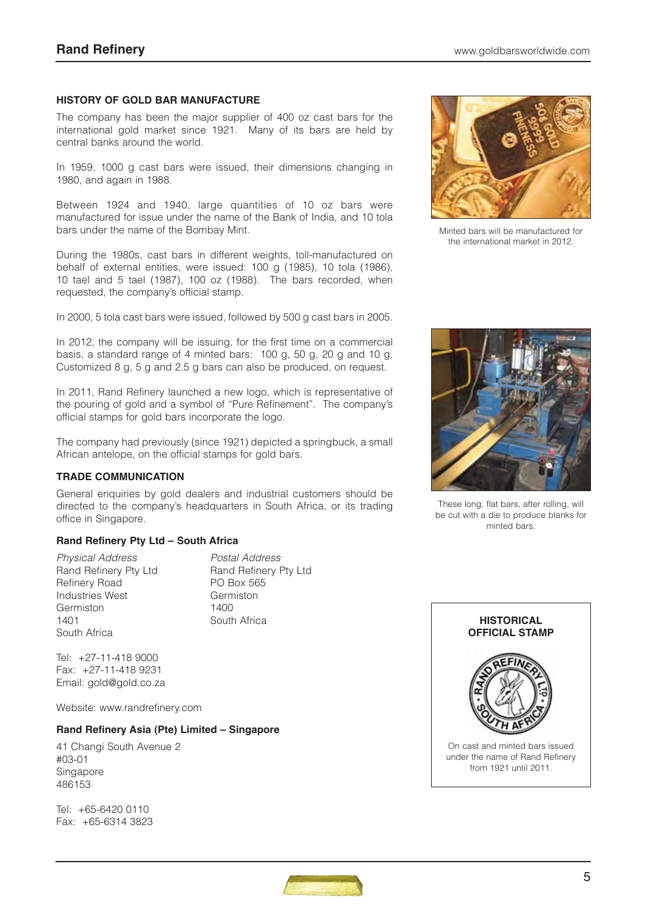# **HISTORY OF GOLD BAR MANUFACTURE**

The company has been the major supplier of 400 oz cast bars for the international gold market since 1921. Many of its bars are held by central banks around the world.

In 1959, 1000 g cast bars were issued, their dimensions changing in 1980, and again in 1988.

Between 1924 and 1940, large quantities of 10 oz bars were manufactured for issue under the name of the Bank of India, and 10 tola bars under the name of the Bombay Mint.

During the 1980s, cast bars in different weights, toll-manufactured on behalf of external entities, were issued: 100 g (1985), 10 tola (1986), 10 tael and 5 tael (1987), 100 oz (1988). The bars recorded, when requested, the company's official stamp.

In 2000, 5 tola cast bars were issued, followed by 500 g cast bars in 2005.

In 2012, the company will be issuing, for the first time on a commercial basis, a standard range of 4 minted bars: 100 g, 50 g, 20 g and 10 g. Customized 8 g, 5 g and 2.5 g bars can also be produced, on request.

In 2011, Rand Refinery launched a new logo, which is representative of the pouring of gold and a symbol of "Pure Refinement". The company's official stamps for gold bars incorporate the logo.

The company had previously (since 1921) depicted a springbuck, a small African antelope, on the official stamps for gold bars.

# **TRADE COMMUNICATION**

General enquiries by gold dealers and industrial customers should be directed to the company's headquarters in South Africa, or its trading office in Singapore.

### **Rand Refinery Pty Ltd – South Africa**

Physical Address Postal Address Refinery Road PO Box 565 Industries West **Germiston** Germiston 1400 1401 **South Africa** South Africa

Rand Refinery Pty Ltd Rand Refinery Pty Ltd

Tel: +27-11-418 9000 Fax: +27-11-418 9231 Email: gold@gold.co.za

Website: www.randrefinery.com

### **Rand Refinery Asia (Pte) Limited – Singapore**

41 Changi South Avenue 2 #03-01 Singapore 486153

Tel: +65-6420 0110 Fax: +65-6314 3823

![](_page_4_Picture_21.jpeg)

Minted bars will be manufactured for the international market in 2012.

![](_page_4_Picture_23.jpeg)

These long, flat bars, after rolling, will be cut with a die to produce blanks for minted bars.

![](_page_4_Picture_25.jpeg)

![](_page_4_Picture_26.jpeg)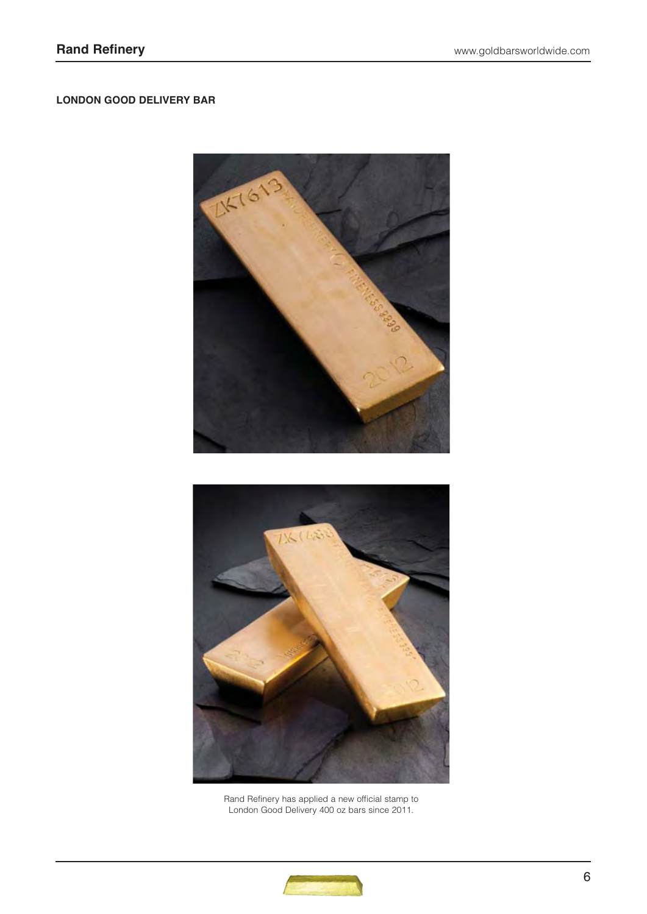# **LONDON GOOD DELIVERY BAR**

![](_page_5_Picture_3.jpeg)

![](_page_5_Picture_4.jpeg)

Rand Refinery has applied a new official stamp to London Good Delivery 400 oz bars since 2011.

![](_page_5_Picture_6.jpeg)